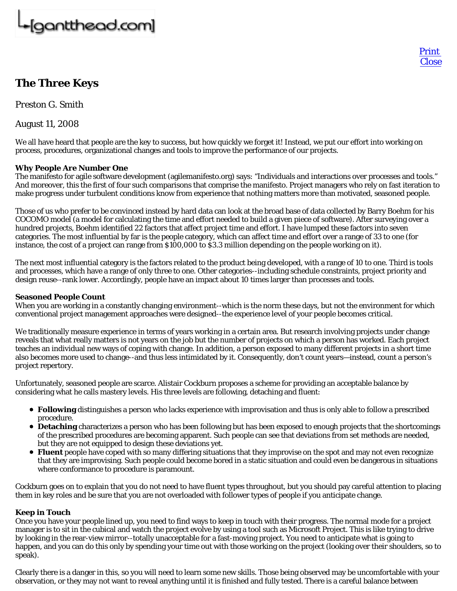# [gantthead.com]

## **The Three Keys**

*Preston G. Smith*

August 11, 2008

We all have heard that people are the key to success, but how quickly we forget it! Instead, we put our effort into working on process, procedures, organizational changes and tools to improve the performance of our projects.

Print **Close** 

### **Why People Are Number One**

The manifesto for agile software development (agilemanifesto.org) says: "Individuals and interactions over processes and tools." And moreover, this the first of four such comparisons that comprise the manifesto. Project managers who rely on fast iteration to make progress under turbulent conditions know from experience that nothing matters more than motivated, seasoned people.

Those of us who prefer to be convinced instead by hard data can look at the broad base of data collected by Barry Boehm for his COCOMO model (a model for calculating the time and effort needed to build a given piece of software). After surveying over a hundred projects, Boehm identified 22 factors that affect project time and effort. I have lumped these factors into seven categories. The most influential by far is the people category, which can affect time and effort over a range of 33 to one (for instance, the cost of a project can range from \$100,000 to \$3.3 million depending on the people working on it).

The next most influential category is the factors related to the product being developed, with a range of 10 to one. Third is tools and processes, which have a range of only three to one. Other categories--including schedule constraints, project priority and design reuse--rank lower. Accordingly, people have an impact about 10 times larger than processes and tools.

### **Seasoned People Count**

When you are working in a constantly changing environment--which is the norm these days, but not the environment for which conventional project management approaches were designed--the experience level of your people becomes critical.

We traditionally measure experience in terms of years working in a certain area. But research involving projects under change reveals that what really matters is not years on the job but the number of projects on which a person has worked. Each project teaches an individual new ways of coping with change. In addition, a person exposed to many different projects in a short time also becomes more used to change--and thus less intimidated by it. Consequently, don't count years—instead, count a person's project repertory.

Unfortunately, seasoned people are scarce. Alistair Cockburn proposes a scheme for providing an acceptable balance by considering what he calls mastery levels. His three levels are following, detaching and fluent:

- **Following** distinguishes a person who lacks experience with improvisation and thus is only able to follow a prescribed procedure.
- **Detaching** characterizes a person who has been following but has been exposed to enough projects that the shortcomings of the prescribed procedures are becoming apparent. Such people can see that deviations from set methods are needed, but they are not equipped to design these deviations yet.
- **Fluent** people have coped with so many differing situations that they improvise on the spot and may not even recognize that they are improvising. Such people could become bored in a static situation and could even be dangerous in situations where conformance to procedure is paramount.

Cockburn goes on to explain that you do not need to have fluent types throughout, but you should pay careful attention to placing them in key roles and be sure that you are not overloaded with follower types of people if you anticipate change.

### **Keep in Touch**

Once you have your people lined up, you need to find ways to keep in touch with their progress. The normal mode for a project manager is to sit in the cubical and watch the project evolve by using a tool such as Microsoft Project. This is like trying to drive by looking in the rear-view mirror--totally unacceptable for a fast-moving project. You need to anticipate what is going to happen, and you can do this only by spending your time out with those working on the project (looking over their shoulders, so to speak).

Clearly there is a danger in this, so you will need to learn some new skills. Those being observed may be uncomfortable with your observation, or they may not want to reveal anything until it is finished and fully tested. There is a careful balance between